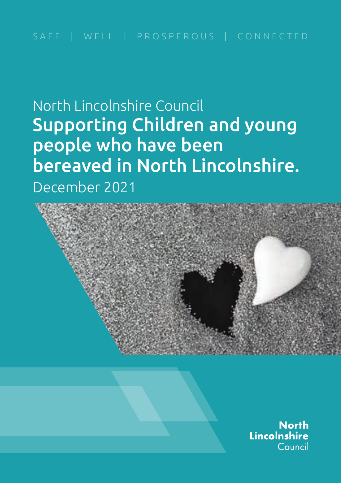North Lincolnshire Council Supporting Children and young people who have been bereaved in North Lincolnshire. December 2021



**North** Lincolnshire Council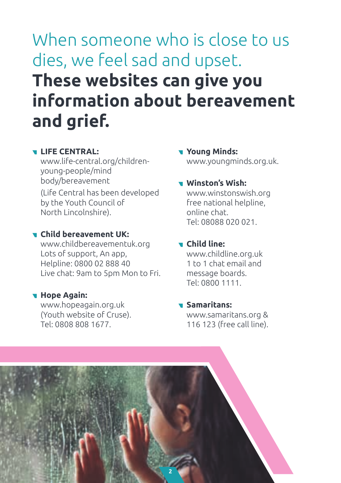# When someone who is close to us dies, we feel sad and upset. **These websites can give you information about bereavement and grief.**

## **LIFE CENTRAL:**

www.life-central.org/childrenyoung-people/mind body/bereavement

(Life Central has been developed by the Youth Council of North Lincolnshire).

## **Child bereavement UK:**

www.childbereavementuk.org Lots of support, An app, Helpline: 0800 02 888 40 Live chat: 9am to 5pm Mon to Fri.

## **Hope Again:**

www.hopeagain.org.uk (Youth website of Cruse). Tel: 0808 808 1677.

**Young Minds:**  www.youngminds.org.uk.

## **Winston's Wish:**

www.winstonswish.org free national helpline, online chat. Tel: 08088 020 021.

## **Child line:**

www.childline.org.uk 1 to 1 chat email and message boards. Tel: 0800 1111.

## **Samaritans:**

www.samaritans.org & 116 123 (free call line).

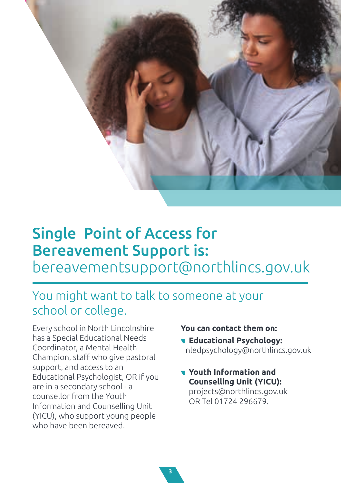

## Single Point of Access for Bereavement Support is: bereavementsupport@northlincs.gov.uk

## You might want to talk to someone at your school or college.

Every school in North Lincolnshire has a Special Educational Needs Coordinator, a Mental Health Champion, staff who give pastoral support, and access to an Educational Psychologist, OR if you are in a secondary school - a counsellor from the Youth Information and Counselling Unit (YICU), who support young people who have been bereaved.

## **You can contact them on:**

- **Educational Psychology:** nledpsychology@northlincs.gov.uk
- **Youth Information and Counselling Unit (YICU):**  projects@northlincs.gov.uk OR Tel 01724 296679.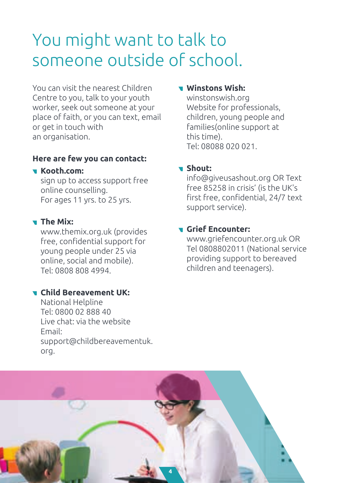## You might want to talk to someone outside of school.

You can visit the nearest Children Centre to you, talk to your youth worker, seek out someone at your place of faith, or you can text, email or get in touch with an organisation.

## **Here are few you can contact:**

## **Kooth.com:**

sign up to access support free online counselling. For ages 11 yrs. to 25 yrs.

## **The Mix:**

www.themix.org.uk (provides free, confidential support for young people under 25 via online, social and mobile). Tel: 0808 808 4994.

## **Child Bereavement UK:**

National Helpline Tel: 0800 02 888 40 Live chat: via the website Email: support@childbereavementuk. org.

## **Winstons Wish:**

winstonswish.org Website for professionals, children, young people and families(online support at this time). Tel: 08088 020 021.

## **Shout:**

info@giveusashout.org OR Text free 85258 in crisis' (is the UK's first free, confidential, 24/7 text support service).

## **Grief Encounter:**

www.griefencounter.org.uk OR Tel 0808802011 (National service providing support to bereaved children and teenagers).

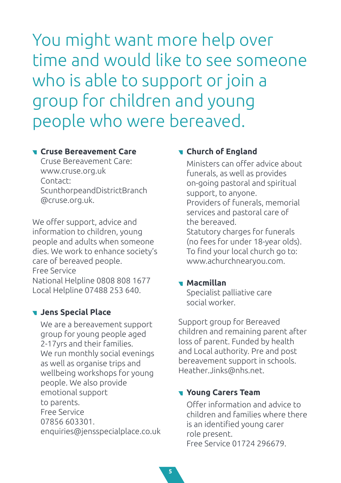You might want more help over time and would like to see someone who is able to support or join a group for children and young people who were bereaved.

#### **Cruse Bereavement Care**

Cruse Bereavement Care: www.cruse.org.uk Contact: ScunthorpeandDistrictBranch @cruse.org.uk.

We offer support, advice and information to children, young people and adults when someone dies. We work to enhance society's care of bereaved people. Free Service National Helpline 0808 808 1677 Local Helpline 07488 253 640.

## **Jens Special Place**

 We are a bereavement support group for young people aged 2-17yrs and their families. We run monthly social evenings as well as organise trips and wellbeing workshops for young people. We also provide emotional support to parents. Free Service 07856 603301. enquiries@jensspecialplace.co.uk

## **Church of England**

 Ministers can offer advice about funerals, as well as provides on-going pastoral and spiritual support, to anyone. Providers of funerals, memorial services and pastoral care of the bereaved. Statutory charges for funerals (no fees for under 18-year olds). To find your local church go to: www.achurchnearyou.com.

## **Macmillan**

Specialist palliative care social worker.

Support group for Bereaved children and remaining parent after loss of parent. Funded by health and Local authority. Pre and post bereavement support in schools. Heather.Jinks@nhs.net.

## **Young Carers Team**

 Offer information and advice to children and families where there is an identified young carer role present. Free Service 01724 296679.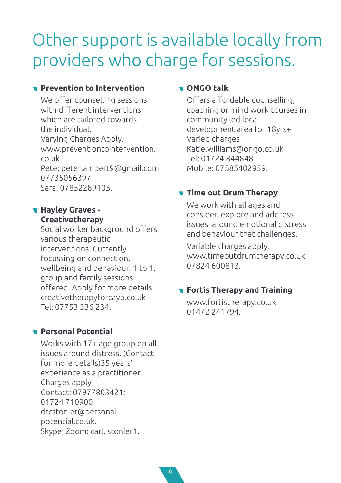## Other support is available locally from providers who charge for sessions.

## **Prevention to Intervention**

 We offer counselling sessions with different interventions which are tailored towards the individual. Varying Charges Apply. www.preventiontointervention. co.uk Pete: peterlambert9@gmail.com 07735056397 Sara: 07852289103.

## **Hayley Graves - Creativetherapy**

Social worker background offers various therapeutic interventions. Currently focussing on connection, wellbeing and behaviour. 1 to 1, group and family sessions offered. Apply for more details. creativetherapyforcayp.co.uk Tel: 07753 336 234.

## **Personal Potential**

 Works with 17+ age group on all issues around distress. (Contact for more details)35 years' experience as a practitioner. Charges apply Contact: 07977803421; 01724 710900 drcstonier@personal potential.co.uk. Skype; Zoom: carl. stonier1.

## **ONGO talk**

 Offers affordable counselling, coaching or mind work courses in community led local development area for 18yrs+ Varied charges Katie.williams@ongo.co.uk Tel: 01724 844848 Mobile: 07585402959.

## **Time out Drum Therapy**

 We work with all ages and consider, explore and address issues, around emotional distress and behaviour that challenges.

 Variable charges apply. www.timeoutdrumtherapy.co.uk 07824 600813.

## **Fortis Therapy and Training**

 www.fortistherapy.co.uk 01472 241794.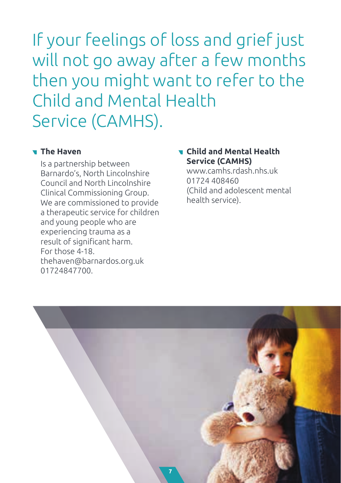If your feelings of loss and grief just will not go away after a few months then you might want to refer to the Child and Mental Health Service (CAMHS).

## **The Haven**

 Is a partnership between Barnardo's, North Lincolnshire Council and North Lincolnshire Clinical Commissioning Group. We are commissioned to provide a therapeutic service for children and young people who are experiencing trauma as a result of significant harm. For those 4-18. thehaven@barnardos.org.uk 01724847700.

## **Child and Mental Health Service (CAMHS)**

www.camhs.rdash.nhs.uk 01724 408460 (Child and adolescent mental health service).